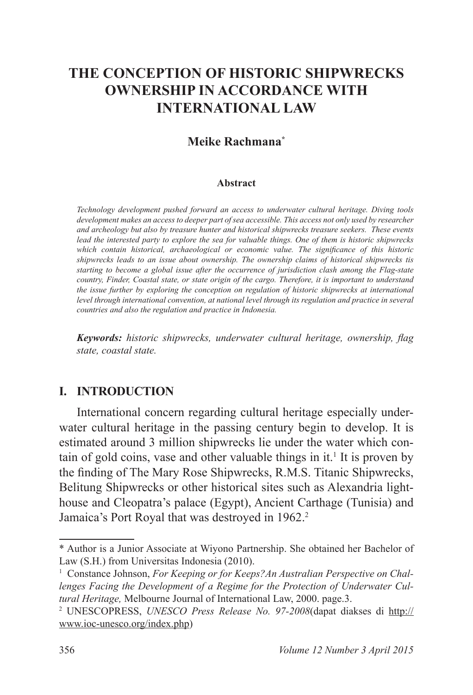# **THE CONCEPTION OF HISTORIC SHIPWRECKS OWNERSHIP IN ACCORDANCE WITH INTERNATIONAL LAW**

### **Meike Rachmana\***

#### **Abstract**

*Technology development pushed forward an access to underwater cultural heritage . Diving tools development makes an access to deeper part of sea accessible . This access not only used by researcher and archeology but also by treasure hunter and historical shipwrecks treasure seekers . These events lead the interested party to explore the sea for valuable things . One of them is historic shipwrecks which contain historical, archaeological or economic value. The significance of this historic shipwrecks leads to an issue about ownership . The ownership claims of historical shipwrecks tis starting to become a global issue after the occurrence of jurisdiction clash among the Flag-state country, Finder, Coastal state, or state origin of the cargo . Therefore, it is important to understand the issue further by exploring the conception on regulation of historic shipwrecks at international level through international convention, at national level through its regulation and practice in several countries and also the regulation and practice in Indonesia .*

*Keywords: historic shipwrecks, underwater cultural heritage, ownership, flag state, coastal state .*

### **I. INTRODUCTION**

International concern regarding cultural heritage especially underwater cultural heritage in the passing century begin to develop. It is estimated around 3 million shipwrecks lie under the water which contain of gold coins, vase and other valuable things in it.<sup>1</sup> It is proven by the finding of The Mary Rose Shipwrecks, R.M.S. Titanic Shipwrecks, Belitung Shipwrecks or other historical sites such as Alexandria lighthouse and Cleopatra's palace (Egypt), Ancient Carthage (Tunisia) and Jamaica's Port Royal that was destroyed in 1962.<sup>2</sup>

<sup>\*</sup> Author is a Junior Associate at Wiyono Partnership. She obtained her Bachelor of Law (S.H.) from Universitas Indonesia (2010).

<sup>&</sup>lt;sup>1</sup> Constance Johnson, For Keeping or for Keeps? An Australian Perspective on Chal*lenges Facing the Development of a Regime for the Protection of Underwater Cultural Heritage,* Melbourne Journal of International Law, 2000. page.3.

<sup>2</sup> UNESCOPRESS, *UNESCO Press Release No. 97-2008*(dapat diakses di http:// www.ioc-unesco.org/index.php)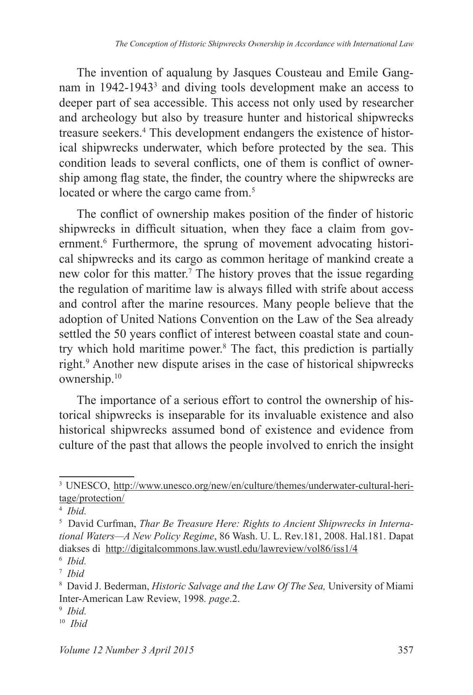The invention of aqualung by Jasques Cousteau and Emile Gangnam in 1942-1943<sup>3</sup> and diving tools development make an access to deeper part of sea accessible. This access not only used by researcher and archeology but also by treasure hunter and historical shipwrecks treasure seekers.<sup>4</sup> This development endangers the existence of historical shipwrecks underwater, which before protected by the sea. This condition leads to several conflicts, one of them is conflict of ownership among flag state, the finder, the country where the shipwrecks are located or where the cargo came from.<sup>5</sup>

The conflict of ownership makes position of the finder of historic shipwrecks in difficult situation, when they face a claim from government.<sup>6</sup> Furthermore, the sprung of movement advocating historical shipwrecks and its cargo as common heritage of mankind create a new color for this matter.<sup>7</sup> The history proves that the issue regarding the regulation of maritime law is always filled with strife about access and control after the marine resources. Many people believe that the adoption of United Nations Convention on the Law of the Sea already settled the 50 years conflict of interest between coastal state and country which hold maritime power.<sup>8</sup> The fact, this prediction is partially right.<sup>9</sup> Another new dispute arises in the case of historical shipwrecks ownership.<sup>10</sup>

The importance of a serious effort to control the ownership of historical shipwrecks is inseparable for its invaluable existence and also historical shipwrecks assumed bond of existence and evidence from culture of the past that allows the people involved to enrich the insight

<sup>&</sup>lt;sup>3</sup> UNESCO, http://www.unesco.org/new/en/culture/themes/underwater-cultural-heritage/protection/

<sup>4</sup> *Ibid .*

<sup>5</sup> David Curfman, *Thar Be Treasure Here: Rights to Ancient Shipwrecks in International Waters—A New Policy Regime*, 86 Wash. U. L. Rev.181, 2008. Hal.181. Dapat diakses di http://digitalcommons.law.wustl.edu/lawreview/vol86/iss1/4

<sup>6</sup> *Ibid .*

<sup>7</sup> *Ibid*

<sup>8</sup> David J. Bederman, *Historic Salvage and the Law Of The Sea,* University of Miami Inter-American Law Review, 1998 *. page*.2.

<sup>9</sup> *Ibid .*

<sup>10</sup> *Ibid*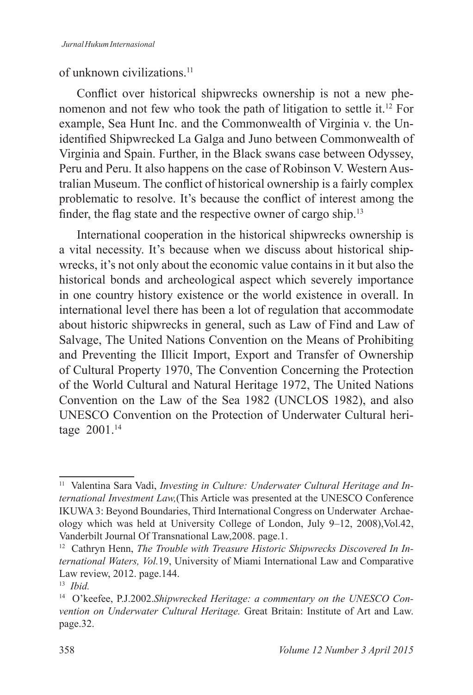### of unknown civilizations.<sup>11</sup>

Conflict over historical shipwrecks ownership is not a new phenomenon and not few who took the path of litigation to settle it.<sup>12</sup> For example, Sea Hunt Inc. and the Commonwealth of Virginia v. the Unidentified Shipwrecked La Galga and Juno between Commonwealth of Virginia and Spain. Further, in the Black swans case between Odyssey, Peru and Peru. It also happens on the case of Robinson V. Western Australian Museum. The conflict of historical ownership is a fairly complex problematic to resolve. It's because the conflict of interest among the finder, the flag state and the respective owner of cargo ship.<sup>13</sup>

International cooperation in the historical shipwrecks ownership is a vital necessity. It's because when we discuss about historical shipwrecks, it's not only about the economic value contains in it but also the historical bonds and archeological aspect which severely importance in one country history existence or the world existence in overall. In international level there has been a lot of regulation that accommodate about historic shipwrecks in general, such as Law of Find and Law of Salvage, The United Nations Convention on the Means of Prohibiting and Preventing the Illicit Import, Export and Transfer of Ownership of Cultural Property 1970, The Convention Concerning the Protection of the World Cultural and Natural Heritage 1972, The United Nations Convention on the Law of the Sea 1982 (UNCLOS 1982), and also UNESCO Convention on the Protection of Underwater Cultural heritage 2001.<sup>14</sup>

<sup>&</sup>lt;sup>11</sup> Valentina Sara Vadi, *Investing in Culture: Underwater Cultural Heritage and International Investment Law,*(This Article was presented at the UNESCO Conference IKUWA 3: Beyond Boundaries, Third International Congress on Underwater Archaeology which was held at University College of London, July 9–12, 2008),Vol.42, Vanderbilt Journal Of Transnational Law,2008. page.1.

<sup>&</sup>lt;sup>12</sup> Cathryn Henn, *The Trouble with Treasure Historic Shipwrecks Discovered In International Waters, Vol .*19, University of Miami International Law and Comparative Law review, 2012. page.144.

<sup>13</sup> *Ibid .*

<sup>14</sup> O'keefee, P.J.2002.*Shipwrecked Heritage: a commentary on the UNESCO Convention on Underwater Cultural Heritage .* Great Britain: Institute of Art and Law. page.32.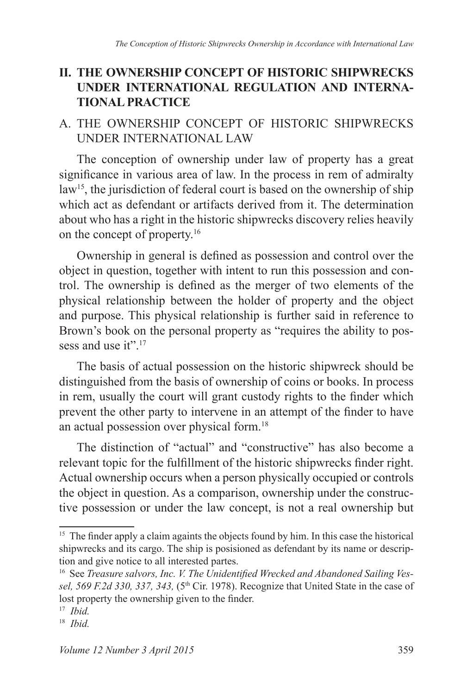## **II. THE OWNERSHIP CONCEPT OF HISTORIC SHIPWRECKS UNDER INTERNATIONAL REGULATION AND INTERNA-TIONAL PRACTICE**

## A. THE OWNERSHIP CONCEPT OF HISTORIC SHIPWRECKS UNDER INTERNATIONAL LAW

The conception of ownership under law of property has a great significance in various area of law. In the process in rem of admiralty law<sup>15</sup>, the jurisdiction of federal court is based on the ownership of ship which act as defendant or artifacts derived from it. The determination about who has a right in the historic shipwrecks discovery relies heavily on the concept of property.<sup>16</sup>

Ownership in general is defined as possession and control over the object in question, together with intent to run this possession and control. The ownership is defined as the merger of two elements of the physical relationship between the holder of property and the object and purpose. This physical relationship is further said in reference to Brown's book on the personal property as "requires the ability to possess and use it".<sup>17</sup>

The basis of actual possession on the historic shipwreck should be distinguished from the basis of ownership of coins or books. In process in rem, usually the court will grant custody rights to the finder which prevent the other party to intervene in an attempt of the finder to have an actual possession over physical form.<sup>18</sup>

The distinction of "actual" and "constructive" has also become a relevant topic for the fulfillment of the historic shipwrecks finder right. Actual ownership occurs when a person physically occupied or controls the object in question. As a comparison, ownership under the constructive possession or under the law concept, is not a real ownership but

<sup>&</sup>lt;sup>15</sup> The finder apply a claim againts the objects found by him. In this case the historical shipwrecks and its cargo. The ship is posisioned as defendant by its name or description and give notice to all interested partes.

<sup>16</sup> See *Treasure salvors, Inc. V. The Unidentified Wrecked and Abandoned Sailing Vessel, 569 F.2d 330, 337, 343,* (5th Cir. 1978). Recognize that United State in the case of lost property the ownership given to the finder.

<sup>17</sup> *Ibid .*

<sup>18</sup> *Ibid .*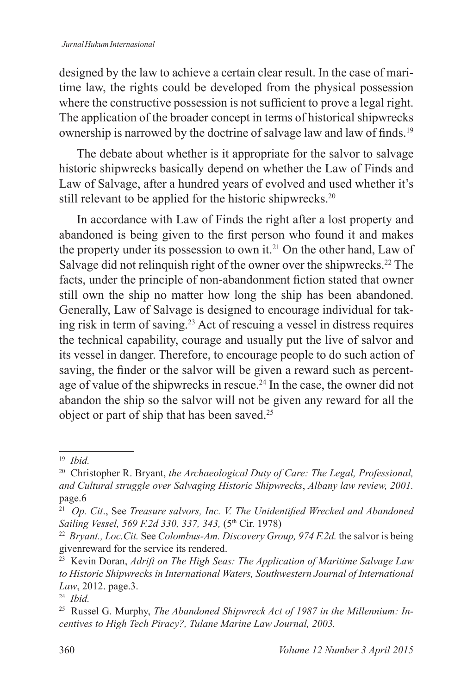designed by the law to achieve a certain clear result. In the case of maritime law, the rights could be developed from the physical possession where the constructive possession is not sufficient to prove a legal right. The application of the broader concept in terms of historical shipwrecks ownership is narrowed by the doctrine of salvage law and law of finds.<sup>19</sup>

The debate about whether is it appropriate for the salvor to salvage historic shipwrecks basically depend on whether the Law of Finds and Law of Salvage, after a hundred years of evolved and used whether it's still relevant to be applied for the historic shipwrecks.<sup>20</sup>

In accordance with Law of Finds the right after a lost property and abandoned is being given to the first person who found it and makes the property under its possession to own it.<sup>21</sup> On the other hand, Law of Salvage did not relinquish right of the owner over the shipwrecks.<sup>22</sup> The facts, under the principle of non-abandonment fiction stated that owner still own the ship no matter how long the ship has been abandoned. Generally, Law of Salvage is designed to encourage individual for taking risk in term of saving.<sup>23</sup> Act of rescuing a vessel in distress requires the technical capability, courage and usually put the live of salvor and its vessel in danger. Therefore, to encourage people to do such action of saving, the finder or the salvor will be given a reward such as percentage of value of the shipwrecks in rescue.<sup>24</sup> In the case, the owner did not abandon the ship so the salvor will not be given any reward for all the object or part of ship that has been saved.<sup>25</sup>

<sup>19</sup> *Ibid .*

<sup>20</sup> Christopher R. Bryant, *the Archaeological Duty of Care: The Legal, Professional, and Cultural struggle over Salvaging Historic Shipwrecks*, *Albany law review, 2001 .* page.6

<sup>21</sup> *Op . Cit*., See *Treasure salvors, Inc. V. The Unidentified Wrecked and Abandoned Sailing Vessel, 569 F.2d 330, 337, 343, (5th Cir. 1978)* 

<sup>22</sup> *Bryant ., Loc .Cit .* See *Colombus-Am. Discovery Group, 974 F.2d.* the salvor is being givenreward for the service its rendered.

<sup>23</sup> Kevin Doran, *Adrift on The High Seas: The Application of Maritime Salvage Law to Historic Shipwrecks in International Waters, Southwestern Journal of International Law*, 2012. page.3.

<sup>24</sup> *Ibid .*

<sup>25</sup> Russel G. Murphy, *The Abandoned Shipwreck Act of 1987 in the Millennium: Incentives to High Tech Piracy?, Tulane Marine Law Journal, 2003 .*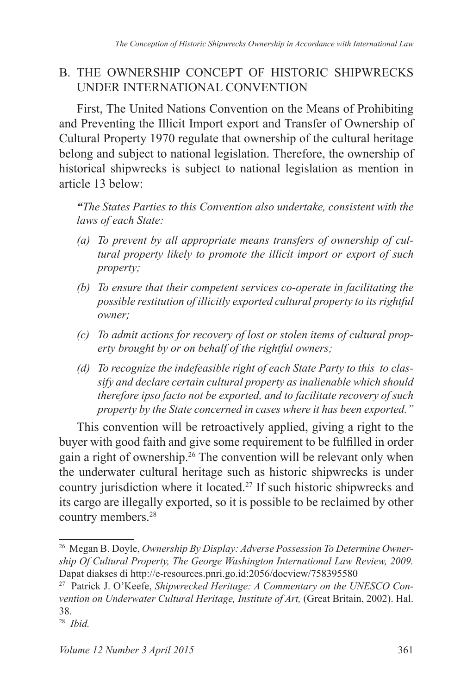## B. THE OWNERSHIP CONCEPT OF HISTORIC SHIPWRECKS UNDER INTERNATIONAL CONVENTION

First, The United Nations Convention on the Means of Prohibiting and Preventing the Illicit Import export and Transfer of Ownership of Cultural Property 1970 regulate that ownership of the cultural heritage belong and subject to national legislation. Therefore, the ownership of historical shipwrecks is subject to national legislation as mention in article 13 below:

*"The States Parties to this Convention also undertake, consistent with the laws of each State:* 

- *(a) To prevent by all appropriate means transfers of ownership of cultural property likely to promote the illicit import or export of such property;*
- *(b) To ensure that their competent services co-operate in facilitating the possible restitution of illicitly exported cultural property to its rightful owner;*
- *(c) To admit actions for recovery of lost or stolen items of cultural property brought by or on behalf of the rightful owners;*
- *(d) To recognize the indefeasible right of each State Party to this to classify and declare certain cultural property as inalienable which should therefore ipso facto not be exported, and to facilitate recovery of such property by the State concerned in cases where it has been exported ."*

This convention will be retroactively applied, giving a right to the buyer with good faith and give some requirement to be fulfilled in order gain a right of ownership.<sup>26</sup> The convention will be relevant only when the underwater cultural heritage such as historic shipwrecks is under country jurisdiction where it located.<sup>27</sup> If such historic shipwrecks and its cargo are illegally exported, so it is possible to be reclaimed by other country members.<sup>28</sup>

<sup>26</sup> Megan B. Doyle, *Ownership By Display: Adverse Possession To Determine Ownership Of Cultural Property, The George Washington International Law Review, 2009 .* Dapat diakses di http://e-resources.pnri.go.id:2056/docview/758395580

<sup>27</sup> Patrick J. O'Keefe, *Shipwrecked Heritage: A Commentary on the UNESCO Convention on Underwater Cultural Heritage, Institute of Art,* (Great Britain, 2002). Hal. 38.

<sup>28</sup> *Ibid .*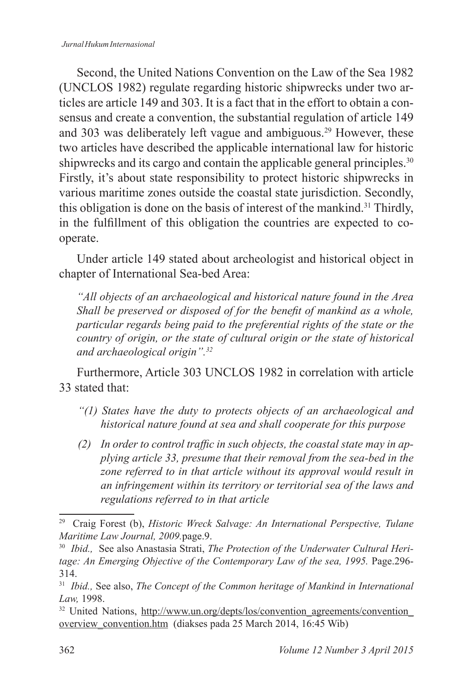#### *Jurnal Hukum Internasional*

Second, the United Nations Convention on the Law of the Sea 1982 (UNCLOS 1982) regulate regarding historic shipwrecks under two articles are article 149 and 303. It is a fact that in the effort to obtain a consensus and create a convention, the substantial regulation of article 149 and 303 was deliberately left vague and ambiguous.<sup>29</sup> However, these two articles have described the applicable international law for historic shipwrecks and its cargo and contain the applicable general principles.<sup>30</sup> Firstly, it's about state responsibility to protect historic shipwrecks in various maritime zones outside the coastal state jurisdiction. Secondly, this obligation is done on the basis of interest of the mankind.<sup>31</sup> Thirdly, in the fulfillment of this obligation the countries are expected to cooperate.

Under article 149 stated about archeologist and historical object in chapter of International Sea-bed Area:

*"All objects of an archaeological and historical nature found in the Area Shall be preserved or disposed of for the benefit of mankind as a whole, particular regards being paid to the preferential rights of the state or the country of origin, or the state of cultural origin or the state of historical and archaeological origin" .<sup>32</sup>*

Furthermore, Article 303 UNCLOS 1982 in correlation with article 33 stated that:

- *"(1) States have the duty to protects objects of an archaeological and historical nature found at sea and shall cooperate for this purpose*
- *(2) In order to control traffic in such objects, the coastal state may in applying article 33, presume that their removal from the sea-bed in the zone referred to in that article without its approval would result in an infringement within its territory or territorial sea of the laws and regulations referred to in that article*

<sup>29</sup> Craig Forest (b), *Historic Wreck Salvage: An International Perspective, Tulane Maritime Law Journal, 2009 .*page.9.

<sup>&</sup>lt;sup>30</sup> Ibid., See also Anastasia Strati, The Protection of the Underwater Cultural Heritage: An Emerging Objective of the Contemporary Law of the sea, 1995. Page.296-314.

<sup>&</sup>lt;sup>31</sup> Ibid., See also, The Concept of the Common heritage of Mankind in International *Law,* 1998.

<sup>&</sup>lt;sup>32</sup> United Nations, http://www.un.org/depts/los/convention\_agreements/convention\_ overview\_convention.htm (diakses pada 25 March 2014, 16:45 Wib)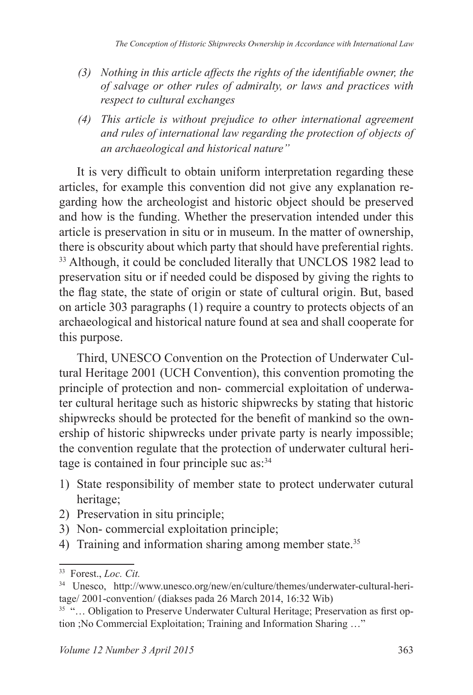- *(3) Nothing in this article affects the rights of the identifiable owner, the of salvage or other rules of admiralty, or laws and practices with respect to cultural exchanges*
- *(4) This article is without prejudice to other international agreement and rules of international law regarding the protection of objects of an archaeological and historical nature"*

It is very difficult to obtain uniform interpretation regarding these articles, for example this convention did not give any explanation regarding how the archeologist and historic object should be preserved and how is the funding. Whether the preservation intended under this article is preservation in situ or in museum. In the matter of ownership, there is obscurity about which party that should have preferential rights. <sup>33</sup> Although, it could be concluded literally that UNCLOS 1982 lead to preservation situ or if needed could be disposed by giving the rights to the flag state, the state of origin or state of cultural origin. But, based on article 303 paragraphs (1) require a country to protects objects of an archaeological and historical nature found at sea and shall cooperate for this purpose.

Third, UNESCO Convention on the Protection of Underwater Cultural Heritage 2001 (UCH Convention), this convention promoting the principle of protection and non- commercial exploitation of underwater cultural heritage such as historic shipwrecks by stating that historic shipwrecks should be protected for the benefit of mankind so the ownership of historic shipwrecks under private party is nearly impossible; the convention regulate that the protection of underwater cultural heritage is contained in four principle suc as:<sup>34</sup>

- 1) State responsibility of member state to protect underwater cutural heritage;
- 2) Preservation in situ principle;
- 3) Non- commercial exploitation principle;
- 4) Training and information sharing among member state.<sup>35</sup>

<sup>&</sup>lt;sup>33</sup> Forest., *Loc. Cit.* 

<sup>34</sup> Unesco, http://www.unesco.org/new/en/culture/themes/underwater-cultural-heritage/ 2001-convention/ (diakses pada 26 March 2014, 16:32 Wib)

<sup>&</sup>lt;sup>35</sup> "... Obligation to Preserve Underwater Cultural Heritage; Preservation as first option ;No Commercial Exploitation; Training and Information Sharing …"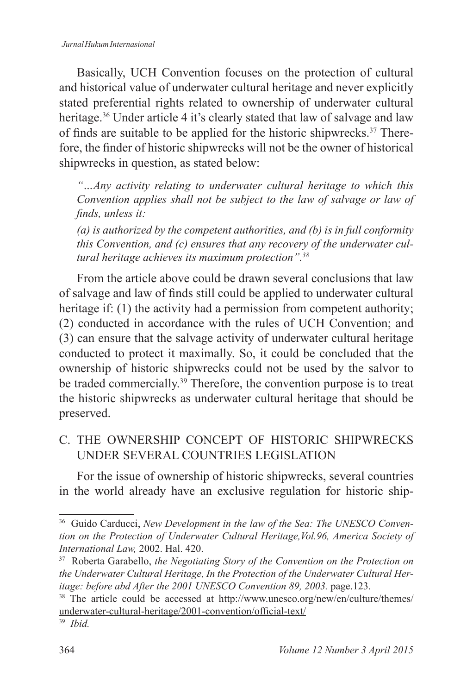Basically, UCH Convention focuses on the protection of cultural and historical value of underwater cultural heritage and never explicitly stated preferential rights related to ownership of underwater cultural heritage.<sup>36</sup> Under article 4 it's clearly stated that law of salvage and law of finds are suitable to be applied for the historic shipwrecks.37 Therefore, the finder of historic shipwrecks will not be the owner of historical shipwrecks in question, as stated below:

*"…Any activity relating to underwater cultural heritage to which this Convention applies shall not be subject to the law of salvage or law of finds, unless it:*

*(a) is authorized by the competent authorities, and (b) is in full conformity this Convention, and (c) ensures that any recovery of the underwater cultural heritage achieves its maximum protection" .<sup>38</sup>*

From the article above could be drawn several conclusions that law of salvage and law of finds still could be applied to underwater cultural heritage if: (1) the activity had a permission from competent authority; (2) conducted in accordance with the rules of UCH Convention; and (3) can ensure that the salvage activity of underwater cultural heritage conducted to protect it maximally. So, it could be concluded that the ownership of historic shipwrecks could not be used by the salvor to be traded commercially.<sup>39</sup> Therefore, the convention purpose is to treat the historic shipwrecks as underwater cultural heritage that should be preserved.

C. THE OWNERSHIP CONCEPT OF HISTORIC SHIPWRECKS UNDER SEVERAL COUNTRIES LEGISLATION

For the issue of ownership of historic shipwrecks, several countries in the world already have an exclusive regulation for historic ship-

<sup>36</sup> Guido Carducci, *New Development in the law of the Sea: The UNESCO Convention on the Protection of Underwater Cultural Heritage,Vol.96, America Society of International Law,* 2002. Hal. 420.

<sup>37</sup> Roberta Garabello, *the Negotiating Story of the Convention on the Protection on the Underwater Cultural Heritage, In the Protection of the Underwater Cultural Heritage: before abd After the 2001 UNESCO Convention 89, 2003.* page.123.

<sup>38</sup> The article could be accessed at http://www.unesco.org/new/en/culture/themes/ underwater-cultural-heritage/2001-convention/official-text/

<sup>39</sup> *Ibid .*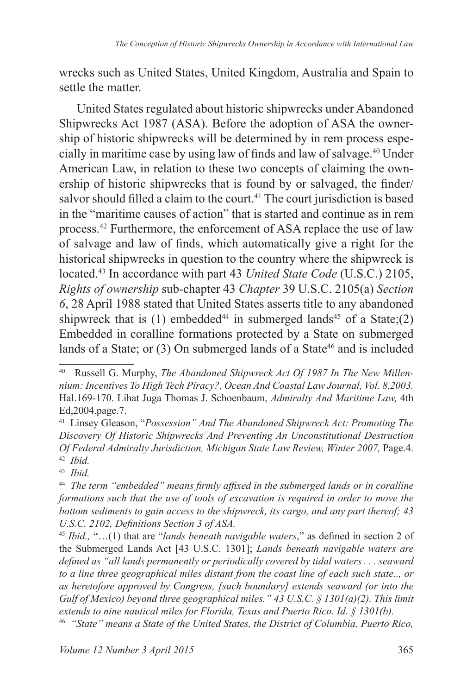wrecks such as United States, United Kingdom, Australia and Spain to settle the matter.

United States regulated about historic shipwrecks under Abandoned Shipwrecks Act 1987 (ASA). Before the adoption of ASA the ownership of historic shipwrecks will be determined by in rem process especially in maritime case by using law of finds and law of salvage.<sup>40</sup> Under American Law, in relation to these two concepts of claiming the ownership of historic shipwrecks that is found by or salvaged, the finder/ salvor should filled a claim to the court.<sup>41</sup> The court jurisdiction is based in the "maritime causes of action" that is started and continue as in rem process.<sup>42</sup> Furthermore, the enforcement of ASA replace the use of law of salvage and law of finds, which automatically give a right for the historical shipwrecks in question to the country where the shipwreck is located.<sup>43</sup> In accordance with part 43 *United State Code* (U.S.C.) 2105, *Rights of ownership* sub-chapter 43 *Chapter* 39 U.S.C. 2105(a) *Section 6*, 28 April 1988 stated that United States asserts title to any abandoned shipwreck that is  $(1)$  embedded<sup>44</sup> in submerged lands<sup>45</sup> of a State;(2) Embedded in coralline formations protected by a State on submerged lands of a State; or (3) On submerged lands of a State<sup>46</sup> and is included

<sup>40</sup> Russell G. Murphy, *The Abandoned Shipwreck Act Of 1987 In The New Millennium: Incentives To High Tech Piracy?, Ocean And Coastal Law Journal, Vol . 8,2003 .* Hal.169-170. Lihat Juga Thomas J. Schoenbaum, *Admiralty And Maritime Law,* 4th Ed,2004.page.7.

<sup>41</sup> Linsey Gleason, "*Possession" And The Abandoned Shipwreck Act: Promoting The Discovery Of Historic Shipwrecks And Preventing An Unconstitutional Destruction Of Federal Admiralty Jurisdiction, Michigan State Law Review, Winter 2007,* Page.4. 42 *Ibid .*

<sup>43</sup> *Ibid .*

<sup>44</sup> *The term "embedded" means firmly affixed in the submerged lands or in coralline formations such that the use of tools of excavation is required in order to move the bottom sediments to gain access to the shipwreck, its cargo, and any part thereof; 43 U.S.C. 2102, Definitions Section 3 of ASA.*

<sup>45</sup> *Ibid .,* "…(1) that are "*lands beneath navigable waters*," as defined in section 2 of the Submerged Lands Act [43 U.S.C. 1301]; *Lands beneath navigable waters are defined as "all lands permanently or periodically covered by tidal waters . . . seaward to a line three geographical miles distant from the coast line of each such state . ., or as heretofore approved by Congress, [such boundary] extends seaward (or into the Gulf of Mexico) beyond three geographical miles ." 43 U .S .C . § 1301(a)(2) . This limit extends to nine nautical miles for Florida, Texas and Puerto Rico . Id . § 1301(b) .*

<sup>&</sup>lt;sup>46</sup> "State" means a State of the United States, the District of Columbia, Puerto Rico,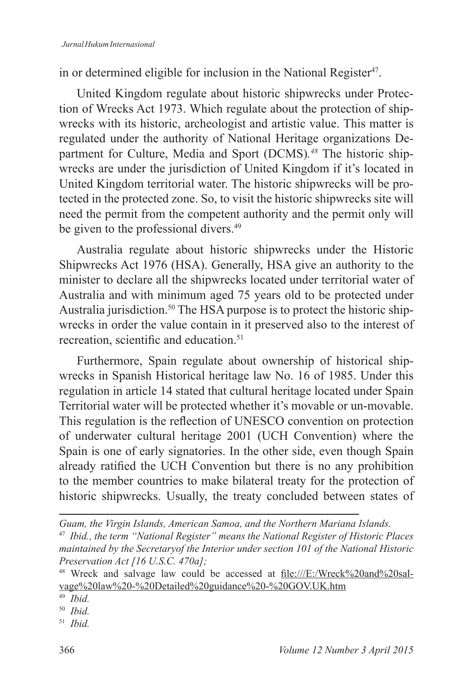in or determined eligible for inclusion in the National Register<sup>47</sup>.

United Kingdom regulate about historic shipwrecks under Protection of Wrecks Act 1973. Which regulate about the protection of shipwrecks with its historic, archeologist and artistic value. This matter is regulated under the authority of National Heritage organizations Department for Culture, Media and Sport (DCMS) *. 48* The historic shipwrecks are under the jurisdiction of United Kingdom if it's located in United Kingdom territorial water. The historic shipwrecks will be protected in the protected zone. So, to visit the historic shipwrecks site will need the permit from the competent authority and the permit only will be given to the professional divers.<sup>49</sup>

Australia regulate about historic shipwrecks under the Historic Shipwrecks Act 1976 (HSA). Generally, HSA give an authority to the minister to declare all the shipwrecks located under territorial water of Australia and with minimum aged 75 years old to be protected under Australia jurisdiction.<sup>50</sup> The HSA purpose is to protect the historic shipwrecks in order the value contain in it preserved also to the interest of recreation, scientific and education.<sup>51</sup>

Furthermore, Spain regulate about ownership of historical shipwrecks in Spanish Historical heritage law No. 16 of 1985. Under this regulation in article 14 stated that cultural heritage located under Spain Territorial water will be protected whether it's movable or un-movable. This regulation is the reflection of UNESCO convention on protection of underwater cultural heritage 2001 (UCH Convention) where the Spain is one of early signatories. In the other side, even though Spain already ratified the UCH Convention but there is no any prohibition to the member countries to make bilateral treaty for the protection of historic shipwrecks. Usually, the treaty concluded between states of

*Guam, the Virgin Islands, American Samoa, and the Northern Mariana Islands .*

<sup>&</sup>lt;sup>47</sup> Ibid., the term "National Register" means the National Register of Historic Places *maintained by the Secretaryof the Interior under section 101 of the National Historic Preservation Act [16 U.S.C. 470a];*

<sup>&</sup>lt;sup>48</sup> Wreck and salvage law could be accessed at file:///E:/Wreck%20and%20salvage%20law%20-%20Detailed%20guidance%20-%20GOV.UK.htm

<sup>49</sup> *Ibid .*

<sup>50</sup> *Ibid .*

<sup>51</sup> *Ibid .*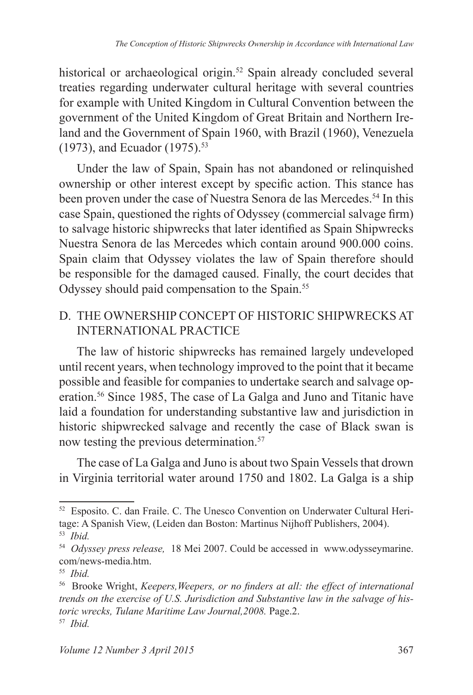historical or archaeological origin.<sup>52</sup> Spain already concluded several treaties regarding underwater cultural heritage with several countries for example with United Kingdom in Cultural Convention between the government of the United Kingdom of Great Britain and Northern Ireland and the Government of Spain 1960, with Brazil (1960), Venezuela (1973), and Ecuador (1975).<sup>53</sup>

Under the law of Spain, Spain has not abandoned or relinquished ownership or other interest except by specific action. This stance has been proven under the case of Nuestra Senora de las Mercedes.<sup>54</sup> In this case Spain, questioned the rights of Odyssey (commercial salvage firm) to salvage historic shipwrecks that later identified as Spain Shipwrecks Nuestra Senora de las Mercedes which contain around 900.000 coins. Spain claim that Odyssey violates the law of Spain therefore should be responsible for the damaged caused. Finally, the court decides that Odyssey should paid compensation to the Spain.<sup>55</sup>

### D. THE OWNERSHIP CONCEPT OF HISTORIC SHIPWRECKS AT INTERNATIONAL PRACTICE

The law of historic shipwrecks has remained largely undeveloped until recent years, when technology improved to the point that it became possible and feasible for companies to undertake search and salvage operation.<sup>56</sup> Since 1985, The case of La Galga and Juno and Titanic have laid a foundation for understanding substantive law and jurisdiction in historic shipwrecked salvage and recently the case of Black swan is now testing the previous determination.<sup>57</sup>

The case of La Galga and Juno is about two Spain Vessels that drown in Virginia territorial water around 1750 and 1802. La Galga is a ship

<sup>52</sup> Esposito. C. dan Fraile. C. The Unesco Convention on Underwater Cultural Heritage: A Spanish View, (Leiden dan Boston: Martinus Nijhoff Publishers, 2004). 53 *Ibid .*

<sup>54</sup> *Odyssey press release,* 18 Mei 2007. Could be accessed in www.odysseymarine. com/news-media.htm.

<sup>55</sup> *Ibid .*

<sup>56</sup> Brooke Wright, *Keepers,Weepers, or no finders at all: the effect of international trends on the exercise of U .S . Jurisdiction and Substantive law in the salvage of historic wrecks, Tulane Maritime Law Journal,2008 .* Page.2. 57 *Ibid .*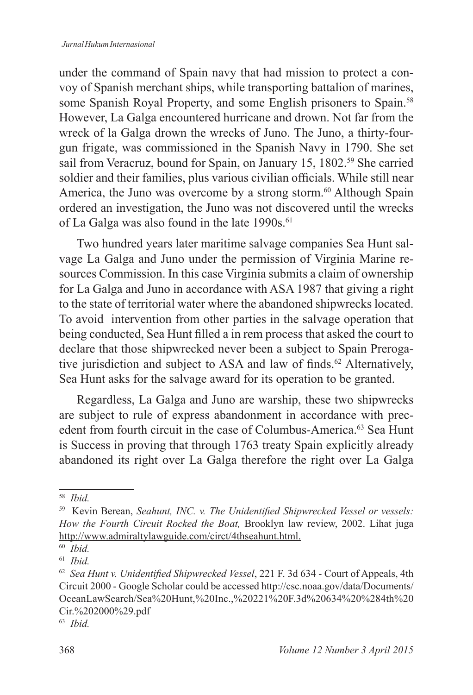under the command of Spain navy that had mission to protect a convoy of Spanish merchant ships, while transporting battalion of marines, some Spanish Royal Property, and some English prisoners to Spain.<sup>58</sup> However, La Galga encountered hurricane and drown. Not far from the wreck of la Galga drown the wrecks of Juno. The Juno, a thirty-fourgun frigate, was commissioned in the Spanish Navy in 1790. She set sail from Veracruz, bound for Spain, on January 15, 1802.<sup>59</sup> She carried soldier and their families, plus various civilian officials. While still near America, the Juno was overcome by a strong storm.<sup>60</sup> Although Spain ordered an investigation, the Juno was not discovered until the wrecks of La Galga was also found in the late 1990s.<sup>61</sup>

Two hundred years later maritime salvage companies Sea Hunt salvage La Galga and Juno under the permission of Virginia Marine resources Commission. In this case Virginia submits a claim of ownership for La Galga and Juno in accordance with ASA 1987 that giving a right to the state of territorial water where the abandoned shipwrecks located. To avoid intervention from other parties in the salvage operation that being conducted, Sea Hunt filled a in rem process that asked the court to declare that those shipwrecked never been a subject to Spain Prerogative jurisdiction and subject to ASA and law of finds.<sup>62</sup> Alternatively, Sea Hunt asks for the salvage award for its operation to be granted.

Regardless, La Galga and Juno are warship, these two shipwrecks are subject to rule of express abandonment in accordance with precedent from fourth circuit in the case of Columbus-America.<sup>63</sup> Sea Hunt is Success in proving that through 1763 treaty Spain explicitly already abandoned its right over La Galga therefore the right over La Galga

<sup>58</sup> *Ibid .*

<sup>59</sup> Kevin Berean, *Seahunt, INC. v. The Unidentified Shipwrecked Vessel or vessels: How the Fourth Circuit Rocked the Boat,* Brooklyn law review, 2002. Lihat juga http://www.admiraltylawguide.com/circt/4thseahunt.html.

<sup>60</sup> *Ibid .*

<sup>61</sup> *Ibid .*

<sup>62</sup> *Sea Hunt v. Unidentified Shipwrecked Vessel*, 221 F. 3d 634 - Court of Appeals, 4th Circuit 2000 - Google Scholar could be accessed http://csc.noaa.gov/data/Documents/ OceanLawSearch/Sea%20Hunt,%20Inc.,%20221%20F.3d%20634%20%284th%20 Cir.%202000%29.pdf

<sup>63</sup> *Ibid .*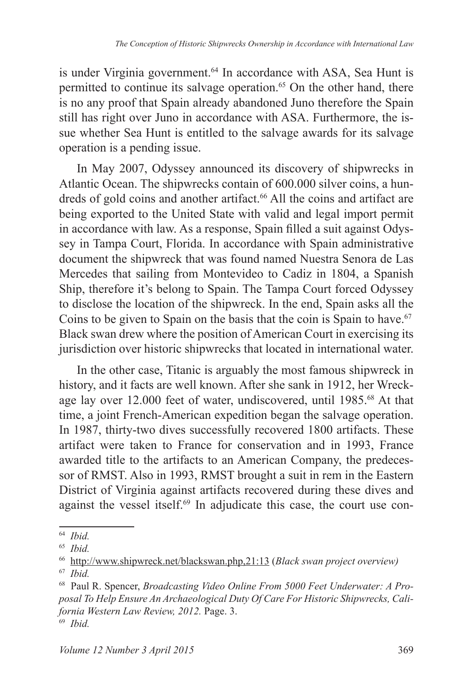is under Virginia government.<sup>64</sup> In accordance with ASA, Sea Hunt is permitted to continue its salvage operation.<sup>65</sup> On the other hand, there is no any proof that Spain already abandoned Juno therefore the Spain still has right over Juno in accordance with ASA. Furthermore, the issue whether Sea Hunt is entitled to the salvage awards for its salvage operation is a pending issue.

In May 2007, Odyssey announced its discovery of shipwrecks in Atlantic Ocean. The shipwrecks contain of 600.000 silver coins, a hundreds of gold coins and another artifact.<sup>66</sup> All the coins and artifact are being exported to the United State with valid and legal import permit in accordance with law. As a response, Spain filled a suit against Odyssey in Tampa Court, Florida. In accordance with Spain administrative document the shipwreck that was found named Nuestra Senora de Las Mercedes that sailing from Montevideo to Cadiz in 1804, a Spanish Ship, therefore it's belong to Spain. The Tampa Court forced Odyssey to disclose the location of the shipwreck. In the end, Spain asks all the Coins to be given to Spain on the basis that the coin is Spain to have.<sup>67</sup> Black swan drew where the position of American Court in exercising its jurisdiction over historic shipwrecks that located in international water.

In the other case, Titanic is arguably the most famous shipwreck in history, and it facts are well known. After she sank in 1912, her Wreckage lay over 12.000 feet of water, undiscovered, until 1985.<sup>68</sup> At that time, a joint French-American expedition began the salvage operation. In 1987, thirty-two dives successfully recovered 1800 artifacts. These artifact were taken to France for conservation and in 1993, France awarded title to the artifacts to an American Company, the predecessor of RMST. Also in 1993, RMST brought a suit in rem in the Eastern District of Virginia against artifacts recovered during these dives and against the vessel itself.<sup>69</sup> In adjudicate this case, the court use con-

<sup>64</sup> *Ibid .*

<sup>65</sup> *Ibid .*

<sup>66</sup> http://www.shipwreck.net/blackswan.php,21:13 (*Black swan project overview)*

<sup>67</sup> *Ibid .*

<sup>68</sup> Paul R. Spencer, *Broadcasting Video Online From 5000 Feet Underwater: A Proposal To Help Ensure An Archaeological Duty Of Care For Historic Shipwrecks, California Western Law Review, 2012 .* Page. 3. 69 *Ibid .*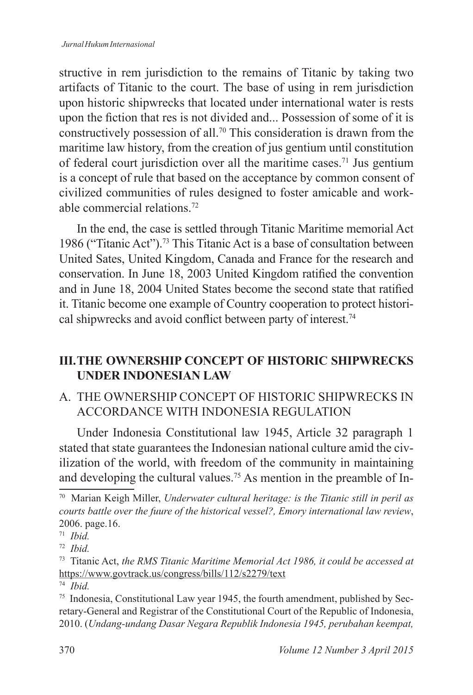structive in rem jurisdiction to the remains of Titanic by taking two artifacts of Titanic to the court. The base of using in rem jurisdiction upon historic shipwrecks that located under international water is rests upon the fiction that res is not divided and... Possession of some of it is constructively possession of all.<sup>70</sup> This consideration is drawn from the maritime law history, from the creation of jus gentium until constitution of federal court jurisdiction over all the maritime cases.<sup>71</sup> Jus gentium is a concept of rule that based on the acceptance by common consent of civilized communities of rules designed to foster amicable and workable commercial relations<sup>72</sup>

In the end, the case is settled through Titanic Maritime memorial Act 1986 ("Titanic Act").<sup>73</sup> This Titanic Act is a base of consultation between United Sates, United Kingdom, Canada and France for the research and conservation. In June 18, 2003 United Kingdom ratified the convention and in June 18, 2004 United States become the second state that ratified it. Titanic become one example of Country cooperation to protect historical shipwrecks and avoid conflict between party of interest.<sup>74</sup>

## **III. THE OWNERSHIP CONCEPT OF HISTORIC SHIPWRECKS UNDER INDONESIAN LAW**

A. THE OWNERSHIP CONCEPT OF HISTORIC SHIPWRECKS IN ACCORDANCE WITH INDONESIA REGULATION

Under Indonesia Constitutional law 1945, Article 32 paragraph 1 stated that state guarantees the Indonesian national culture amid the civilization of the world, with freedom of the community in maintaining and developing the cultural values.<sup>75</sup> As mention in the preamble of In-

<sup>70</sup> Marian Keigh Miller, *Underwater cultural heritage: is the Titanic still in peril as courts battle over the fuure of the historical vessel?, Emory international law review*, 2006. page.16.

<sup>71</sup> *Ibid .*

<sup>72</sup> *Ibid .*

<sup>73</sup> Titanic Act, *the RMS Titanic Maritime Memorial Act 1986, it could be accessed at* https://www.govtrack.us/congress/bills/112/s2279/text

<sup>74</sup> *Ibid .*

<sup>75</sup> Indonesia, Constitutional Law year 1945, the fourth amendment, published by Secretary-General and Registrar of the Constitutional Court of the Republic of Indonesia, 2010. (*Undang-undang Dasar Negara Republik Indonesia 1945, perubahan keempat,*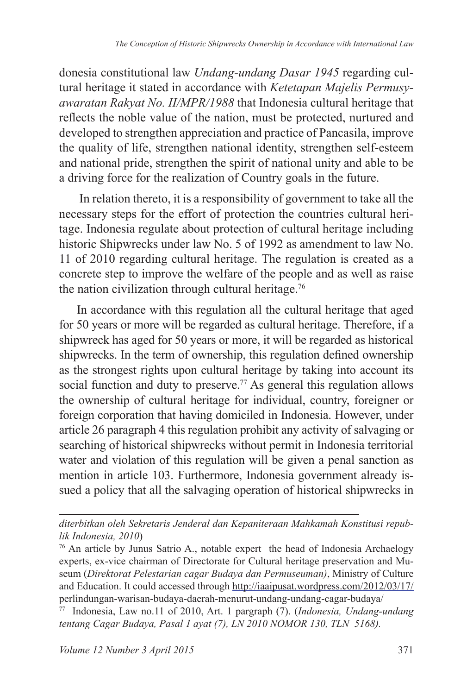donesia constitutional law *Undang-undang Dasar 1945* regarding cultural heritage it stated in accordance with *Ketetapan Majelis Permusyawaratan Rakyat No . II/MPR/1988* that Indonesia cultural heritage that reflects the noble value of the nation, must be protected, nurtured and developed to strengthen appreciation and practice of Pancasila, improve the quality of life, strengthen national identity, strengthen self-esteem and national pride, strengthen the spirit of national unity and able to be a driving force for the realization of Country goals in the future.

 In relation thereto, it is a responsibility of government to take all the necessary steps for the effort of protection the countries cultural heritage. Indonesia regulate about protection of cultural heritage including historic Shipwrecks under law No. 5 of 1992 as amendment to law No. 11 of 2010 regarding cultural heritage. The regulation is created as a concrete step to improve the welfare of the people and as well as raise the nation civilization through cultural heritage.<sup>76</sup>

In accordance with this regulation all the cultural heritage that aged for 50 years or more will be regarded as cultural heritage. Therefore, if a shipwreck has aged for 50 years or more, it will be regarded as historical shipwrecks. In the term of ownership, this regulation defined ownership as the strongest rights upon cultural heritage by taking into account its social function and duty to preserve.<sup>77</sup> As general this regulation allows the ownership of cultural heritage for individual, country, foreigner or foreign corporation that having domiciled in Indonesia. However, under article 26 paragraph 4 this regulation prohibit any activity of salvaging or searching of historical shipwrecks without permit in Indonesia territorial water and violation of this regulation will be given a penal sanction as mention in article 103. Furthermore, Indonesia government already issued a policy that all the salvaging operation of historical shipwrecks in

*diterbitkan oleh Sekretaris Jenderal dan Kepaniteraan Mahkamah Konstitusi republik Indonesia, 2010*)

<sup>76</sup> An article by Junus Satrio A., notable expert the head of Indonesia Archaelogy experts, ex-vice chairman of Directorate for Cultural heritage preservation and Museum (*Direktorat Pelestarian cagar Budaya dan Permuseuman)*, Ministry of Culture and Education. It could accessed through http://iaaipusat.wordpress.com/2012/03/17/ perlindungan-warisan-budaya-daerah-menurut-undang-undang-cagar-budaya/

<sup>77</sup> Indonesia, Law no.11 of 2010, Art. 1 pargraph (7). (*Indonesia, Undang-undang tentang Cagar Budaya, Pasal 1 ayat (7), LN 2010 NOMOR 130, TLN 5168).*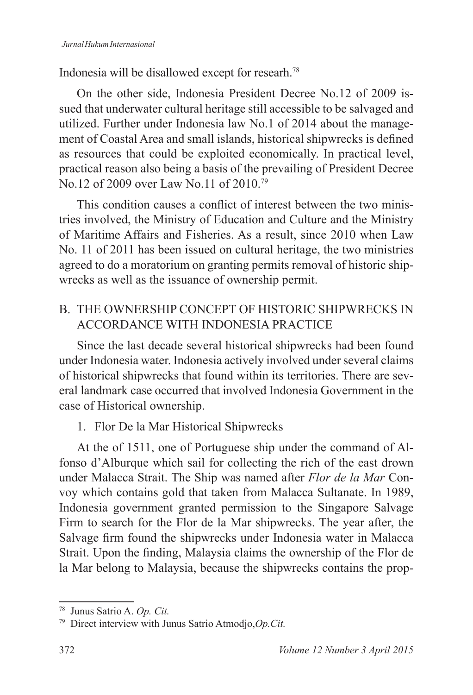Indonesia will be disallowed except for researh.<sup>78</sup>

On the other side, Indonesia President Decree No.12 of 2009 issued that underwater cultural heritage still accessible to be salvaged and utilized. Further under Indonesia law No.1 of 2014 about the management of Coastal Area and small islands, historical shipwrecks is defined as resources that could be exploited economically. In practical level, practical reason also being a basis of the prevailing of President Decree No.12 of 2009 over Law No.11 of 2010.<sup>79</sup>

This condition causes a conflict of interest between the two ministries involved, the Ministry of Education and Culture and the Ministry of Maritime Affairs and Fisheries. As a result, since 2010 when Law No. 11 of 2011 has been issued on cultural heritage, the two ministries agreed to do a moratorium on granting permits removal of historic shipwrecks as well as the issuance of ownership permit.

## B. THE OWNERSHIP CONCEPT OF HISTORIC SHIPWRECKS IN ACCORDANCE WITH INDONESIA PRACTICE

Since the last decade several historical shipwrecks had been found under Indonesia water. Indonesia actively involved under several claims of historical shipwrecks that found within its territories. There are several landmark case occurred that involved Indonesia Government in the case of Historical ownership.

1. Flor De la Mar Historical Shipwrecks

At the of 1511, one of Portuguese ship under the command of Alfonso d'Alburque which sail for collecting the rich of the east drown under Malacca Strait. The Ship was named after *Flor de la Mar* Convoy which contains gold that taken from Malacca Sultanate. In 1989, Indonesia government granted permission to the Singapore Salvage Firm to search for the Flor de la Mar shipwrecks. The year after, the Salvage firm found the shipwrecks under Indonesia water in Malacca Strait. Upon the finding, Malaysia claims the ownership of the Flor de la Mar belong to Malaysia, because the shipwrecks contains the prop-

<sup>78</sup> Junus Satrio A. *Op . Cit .*

<sup>79</sup> Direct interview with Junus Satrio Atmodjo,*Op .Cit .*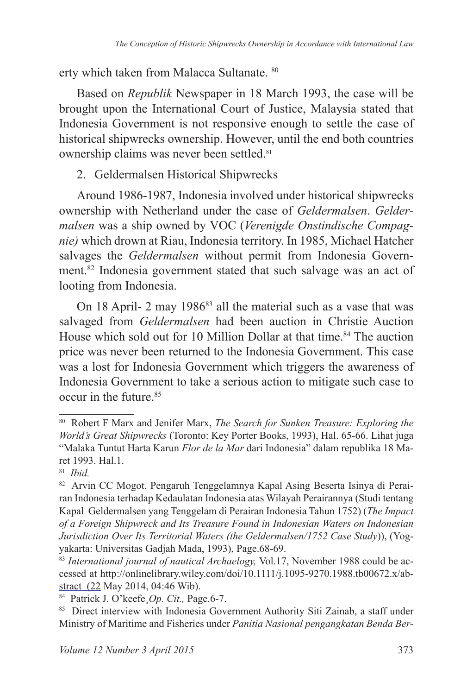erty which taken from Malacca Sultanate. <sup>80</sup>

Based on *Republik* Newspaper in 18 March 1993, the case will be brought upon the International Court of Justice, Malaysia stated that Indonesia Government is not responsive enough to settle the case of historical shipwrecks ownership. However, until the end both countries ownership claims was never been settled.<sup>81</sup>

2. Geldermalsen Historical Shipwrecks

Around 1986-1987, Indonesia involved under historical shipwrecks ownership with Netherland under the case of *Geldermalsen*. *Geldermalsen* was a ship owned by VOC (*Verenigde Onstindische Compagnie)* which drown at Riau, Indonesia territory. In 1985, Michael Hatcher salvages the *Geldermalsen* without permit from Indonesia Government.<sup>82</sup> Indonesia government stated that such salvage was an act of looting from Indonesia.

On 18 April- 2 may 1986<sup>83</sup> all the material such as a vase that was salvaged from *Geldermalsen* had been auction in Christie Auction House which sold out for 10 Million Dollar at that time.<sup>84</sup> The auction price was never been returned to the Indonesia Government. This case was a lost for Indonesia Government which triggers the awareness of Indonesia Government to take a serious action to mitigate such case to  $\alpha$  occur in the future.<sup>85</sup>

<sup>80</sup> Robert F Marx and Jenifer Marx, *The Search for Sunken Treasure: Exploring the World's Great Shipwrecks* (Toronto: Key Porter Books, 1993), Hal. 65-66. Lihat juga "Malaka Tuntut Harta Karun *Flor de la Mar* dari Indonesia" dalam republika 18 Maret 1993. Hal.1.

<sup>81</sup> *Ibid .*

<sup>82</sup> Arvin CC Mogot, Pengaruh Tenggelamnya Kapal Asing Beserta Isinya di Perairan Indonesia terhadap Kedaulatan Indonesia atas Wilayah Perairannya (Studi tentang Kapal Geldermalsen yang Tenggelam di Perairan Indonesia Tahun 1752) (*The Impact of a Foreign Shipwreck and Its Treasure Found in Indonesian Waters on Indonesian Jurisdiction Over Its Territorial Waters (the Geldermalsen/1752 Case Study*)), (Yogyakarta: Universitas Gadjah Mada, 1993), Page.68-69.

<sup>83</sup> *International journal of nautical Archaelogy,* Vol.17, November 1988 could be accessed at http://onlinelibrary.wiley.com/doi/10.1111/j.1095-9270.1988.tb00672.x/abstract (22 May 2014, 04:46 Wib).

<sup>84</sup> Patrick J. O'keefe¸*Op . Cit .,* Page.6-7.

<sup>85</sup> Direct interview with Indonesia Government Authority Siti Zainab, a staff under Ministry of Maritime and Fisheries under *Panitia Nasional pengangkatan Benda Ber-*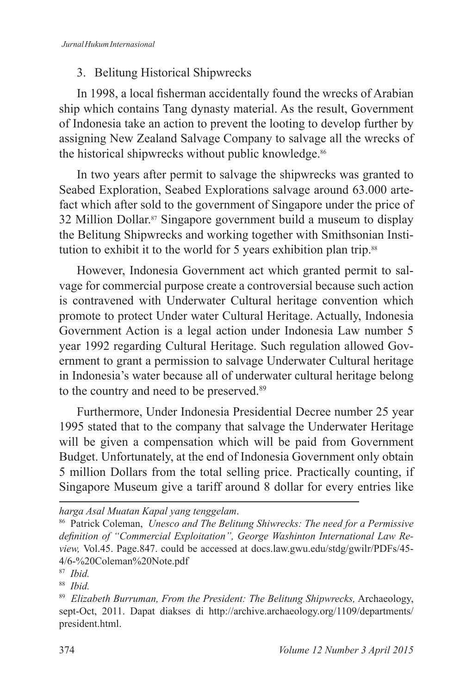### 3. Belitung Historical Shipwrecks

In 1998, a local fisherman accidentally found the wrecks of Arabian ship which contains Tang dynasty material. As the result, Government of Indonesia take an action to prevent the looting to develop further by assigning New Zealand Salvage Company to salvage all the wrecks of the historical shipwrecks without public knowledge.<sup>86</sup>

In two years after permit to salvage the shipwrecks was granted to Seabed Exploration, Seabed Explorations salvage around 63.000 artefact which after sold to the government of Singapore under the price of 32 Million Dollar.87 Singapore government build a museum to display the Belitung Shipwrecks and working together with Smithsonian Institution to exhibit it to the world for 5 years exhibition plan trip.<sup>88</sup>

However, Indonesia Government act which granted permit to salvage for commercial purpose create a controversial because such action is contravened with Underwater Cultural heritage convention which promote to protect Under water Cultural Heritage. Actually, Indonesia Government Action is a legal action under Indonesia Law number 5 year 1992 regarding Cultural Heritage. Such regulation allowed Government to grant a permission to salvage Underwater Cultural heritage in Indonesia's water because all of underwater cultural heritage belong to the country and need to be preserved.<sup>89</sup>

Furthermore, Under Indonesia Presidential Decree number 25 year 1995 stated that to the company that salvage the Underwater Heritage will be given a compensation which will be paid from Government Budget. Unfortunately, at the end of Indonesia Government only obtain 5 million Dollars from the total selling price. Practically counting, if Singapore Museum give a tariff around 8 dollar for every entries like

*harga Asal Muatan Kapal yang tenggelam*.

<sup>86</sup> Patrick Coleman, *Unesco and The Belitung Shiwrecks: The need for a Permissive definition of "Commercial Exploitation", George Washinton International Law Review,* Vol.45. Page.847. could be accessed at docs.law.gwu.edu/stdg/gwilr/PDFs/45- 4/6-%20Coleman%20Note.pdf

<sup>87</sup> *Ibid .*

<sup>88</sup> *Ibid .*

<sup>89</sup> *Elizabeth Burruman, From the President: The Belitung Shipwrecks,* Archaeology, sept-Oct, 2011. Dapat diakses di http://archive.archaeology.org/1109/departments/ president.html.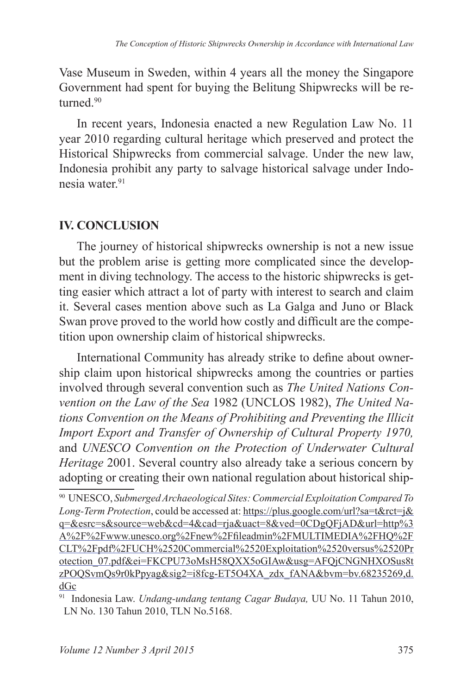Vase Museum in Sweden, within 4 years all the money the Singapore Government had spent for buying the Belitung Shipwrecks will be returned<sup>90</sup>

In recent years, Indonesia enacted a new Regulation Law No. 11 year 2010 regarding cultural heritage which preserved and protect the Historical Shipwrecks from commercial salvage. Under the new law, Indonesia prohibit any party to salvage historical salvage under Indonesia water<sup>91</sup>

### **IV. CONCLUSION**

The journey of historical shipwrecks ownership is not a new issue but the problem arise is getting more complicated since the development in diving technology. The access to the historic shipwrecks is getting easier which attract a lot of party with interest to search and claim it. Several cases mention above such as La Galga and Juno or Black Swan prove proved to the world how costly and difficult are the competition upon ownership claim of historical shipwrecks.

International Community has already strike to define about ownership claim upon historical shipwrecks among the countries or parties involved through several convention such as *The United Nations Convention on the Law of the Sea* 1982 (UNCLOS 1982), *The United Nations Convention on the Means of Prohibiting and Preventing the Illicit Import Export and Transfer of Ownership of Cultural Property 1970,*  and *UNESCO Convention on the Protection of Underwater Cultural Heritage* 2001. Several country also already take a serious concern by adopting or creating their own national regulation about historical ship-

<sup>90</sup> UNESCO, *Submerged Archaeological Sites: Commercial Exploitation Compared To Long-Term Protection*, could be accessed at: https://plus.google.com/url?sa=t&rct=j& q=&esrc=s&source=web&cd=4&cad=rja&uact=8&ved=0CDgQFjAD&url=http%3 A%2F%2Fwww.unesco.org%2Fnew%2Ffileadmin%2FMULTIMEDIA%2FHQ%2F CLT%2Fpdf%2FUCH%2520Commercial%2520Exploitation%2520versus%2520Pr otection\_07.pdf&ei=FKCPU73oMsH58QXX5oGIAw&usg=AFQjCNGNHXOSus8t zPOQSvmQs9r0kPpyag&sig2=i8fcg-ET5O4XA\_zdx\_fANA&bvm=bv.68235269,d. dGc

<sup>91</sup> Indonesia Law. *Undang-undang tentang Cagar Budaya,* UU No. 11 Tahun 2010, LN No. 130 Tahun 2010, TLN No.5168.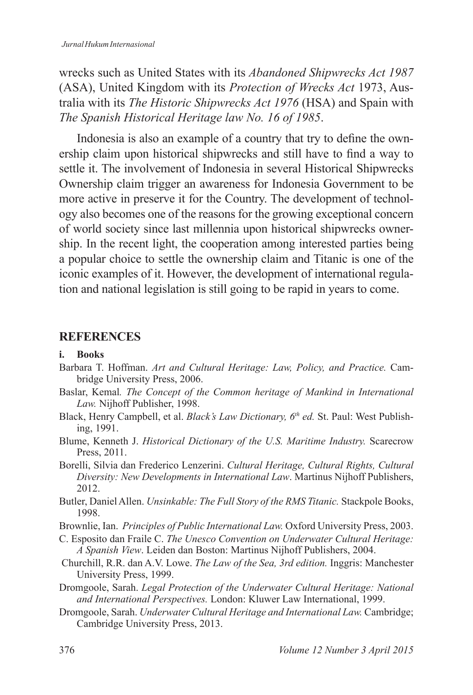wrecks such as United States with its *Abandoned Shipwrecks Act 1987* (ASA), United Kingdom with its *Protection of Wrecks Act* 1973, Australia with its *The Historic Shipwrecks Act 1976* (HSA) and Spain with *The Spanish Historical Heritage law No. 16 of 1985*.

Indonesia is also an example of a country that try to define the ownership claim upon historical shipwrecks and still have to find a way to settle it. The involvement of Indonesia in several Historical Shipwrecks Ownership claim trigger an awareness for Indonesia Government to be more active in preserve it for the Country. The development of technology also becomes one of the reasons for the growing exceptional concern of world society since last millennia upon historical shipwrecks ownership. In the recent light, the cooperation among interested parties being a popular choice to settle the ownership claim and Titanic is one of the iconic examples of it. However, the development of international regulation and national legislation is still going to be rapid in years to come.

### **REFERENCES**

#### **i. Books**

- Barbara T. Hoffman. Art and Cultural Heritage: Law, Policy, and Practice. Cambridge University Press, 2006.
- Baslar, Kemal. The Concept of the Common heritage of Mankind in International *Law .* Nijhoff Publisher, 1998.
- Black, Henry Campbell, et al. *Black's Law Dictionary, 6th ed .* St. Paul: West Publishing, 1991.
- Blume, Kenneth J. *Historical Dictionary of the U .S . Maritime Industry .* Scarecrow Press, 2011.
- Borelli, Silvia dan Frederico Lenzerini. *Cultural Heritage, Cultural Rights, Cultural Diversity: New Developments in International Law*. Martinus Nijhoff Publishers, 2012.
- Butler, Daniel Allen. *Unsinkable: The Full Story of the RMS Titanic .* Stackpole Books, 1998.
- Brownlie, Ian. *Principles of Public International Law .* Oxford University Press, 2003.
- C. Esposito dan Fraile C. *The Unesco Convention on Underwater Cultural Heritage: A Spanish View*. Leiden dan Boston: Martinus Nijhoff Publishers, 2004.
- Churchill, R.R. dan A.V. Lowe. *The Law of the Sea, 3rd edition .* Inggris: Manchester University Press, 1999.
- Dromgoole, Sarah. *Legal Protection of the Underwater Cultural Heritage: National and International Perspectives .* London: Kluwer Law International, 1999.
- Dromgoole, Sarah. *Underwater Cultural Heritage and International Law .* Cambridge; Cambridge University Press, 2013.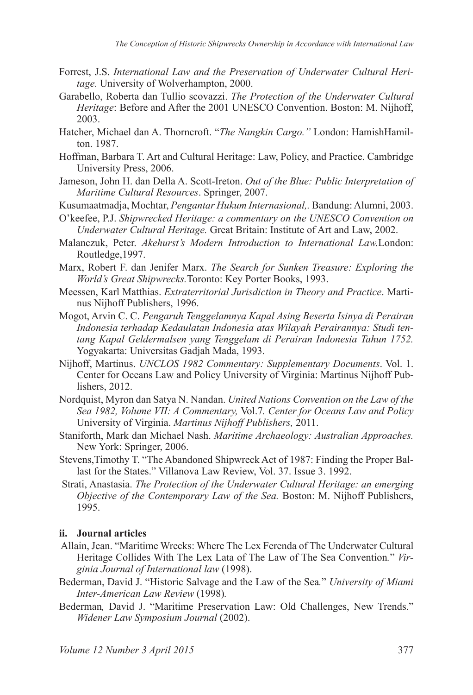- Forrest, J.S. *International Law and the Preservation of Underwater Cultural Heritage .* University of Wolverhampton, 2000.
- Garabello, Roberta dan Tullio scovazzi. *The Protection of the Underwater Cultural Heritage*: Before and After the 2001 UNESCO Convention. Boston: M. Nijhoff, 2003.
- Hatcher, Michael dan A. Thorncroft. "*The Nangkin Cargo ."* London: HamishHamilton. 1987.
- Hoffman, Barbara T. Art and Cultural Heritage: Law, Policy, and Practice. Cambridge University Press, 2006.
- Jameson, John H. dan Della A. Scott-Ireton. *Out of the Blue: Public Interpretation of Maritime Cultural Resources*. Springer, 2007.
- Kusumaatmadja, Mochtar, *Pengantar Hukum Internasional, .* Bandung: Alumni, 2003.
- O'keefee, P.J. *Shipwrecked Heritage: a commentary on the UNESCO Convention on Underwater Cultural Heritage .* Great Britain: Institute of Art and Law, 2002.
- Malanczuk, Peter. *Akehurst's Modern Introduction to International Law London:* Routledge,1997.
- Marx, Robert F. dan Jenifer Marx. *The Search for Sunken Treasure: Exploring the World's Great Shipwrecks .*Toronto: Key Porter Books, 1993.
- Meessen, Karl Matthias. *Extraterritorial Jurisdiction in Theory and Practice*. Martinus Nijhoff Publishers, 1996.
- Mogot, Arvin C. C. *Pengaruh Tenggelamnya Kapal Asing Beserta Isinya di Perairan Indonesia terhadap Kedaulatan Indonesia atas Wilayah Perairannya: Studi tentang Kapal Geldermalsen yang Tenggelam di Perairan Indonesia Tahun 1752.*  Yogyakarta: Universitas Gadjah Mada, 1993.
- Nijhoff, Martinus. *UNCLOS 1982 Commentary: Supplementary Documents*. Vol. 1. Center for Oceans Law and Policy University of Virginia: Martinus Nijhoff Publishers, 2012.
- Nordquist, Myron dan Satya N. Nandan. *United Nations Convention on the Law of the Sea 1982, Volume VII: A Commentary,* Vol.7 *. Center for Oceans Law and Policy*  University of Virginia. *Martinus Nijhoff Publishers,* 2011.
- Staniforth, Mark dan Michael Nash. *Maritime Archaeology: Australian Approaches .*  New York: Springer, 2006.
- Stevens,Timothy T. "The Abandoned Shipwreck Act of 1987: Finding the Proper Ballast for the States." Villanova Law Review, Vol. 37. Issue 3. 1992.
- Strati, Anastasia. *The Protection of the Underwater Cultural Heritage: an emerging Objective of the Contemporary Law of the Sea. Boston: M. Nijhoff Publishers,* 1995.

#### **ii. Journal articles**

- Allain, Jean. "Maritime Wrecks: Where The Lex Ferenda of The Underwater Cultural Heritage Collides With The Lex Lata of The Law of The Sea Convention." Vir*ginia Journal of International law* (1998).
- Bederman, David J. "Historic Salvage and the Law of the Sea *.*" *University of Miami Inter-American Law Review* (1998) *.*
- Bederman*,* David J. "Maritime Preservation Law: Old Challenges, New Trends." *Widener Law Symposium Journal* (2002).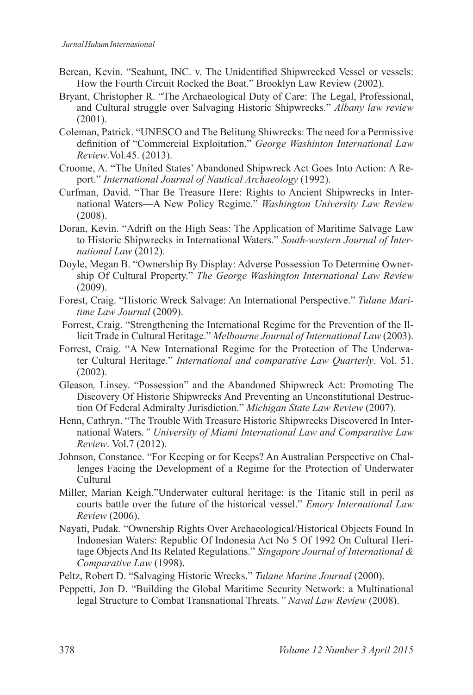- Berean, Kevin. "Seahunt, INC. v. The Unidentified Shipwrecked Vessel or vessels: How the Fourth Circuit Rocked the Boat." Brooklyn Law Review (2002).
- Bryant, Christopher R. "The Archaeological Duty of Care: The Legal, Professional, and Cultural struggle over Salvaging Historic Shipwrecks." *Albany law review* (2001).
- Coleman, Patrick. "UNESCO and The Belitung Shiwrecks: The need for a Permissive definition of "Commercial Exploitation." *George Washinton International Law Review*.Vol.45. (2013).
- Croome, A. "The United States' Abandoned Shipwreck Act Goes Into Action: A Report." *International Journal of Nautical Archaeology* (1992).
- Curfman, David. "Thar Be Treasure Here: Rights to Ancient Shipwrecks in International Waters—A New Policy Regime." *Washington University Law Review*  (2008).
- Doran, Kevin. "Adrift on the High Seas: The Application of Maritime Salvage Law to Historic Shipwrecks in International Waters." *South-western Journal of International Law* (2012).
- Doyle, Megan B. "Ownership By Display: Adverse Possession To Determine Ownership Of Cultural Property." *The George Washington International Law Review* (2009).
- Forest, Craig. "Historic Wreck Salvage: An International Perspective." *Tulane Maritime Law Journal* (2009).
- Forrest, Craig. "Strengthening the International Regime for the Prevention of the Illicit Trade in Cultural Heritage." *Melbourne Journal of International Law* (2003).
- Forrest, Craig. "A New International Regime for the Protection of The Underwater Cultural Heritage." *International and comparative Law Quarterly*. Vol. 51. (2002).
- Gleason*,* Linsey. "Possession" and the Abandoned Shipwreck Act: Promoting The Discovery Of Historic Shipwrecks And Preventing an Unconstitutional Destruction Of Federal Admiralty Jurisdiction." *Michigan State Law Review* (2007).
- Henn, Cathryn. "The Trouble With Treasure Historic Shipwrecks Discovered In International Waters *." University of Miami International Law and Comparative Law Review*. Vol.7 (2012).
- Johnson, Constance. "For Keeping or for Keeps? An Australian Perspective on Challenges Facing the Development of a Regime for the Protection of Underwater Cultural
- Miller, Marian Keigh."Underwater cultural heritage: is the Titanic still in peril as courts battle over the future of the historical vessel." *Emory International Law Review* (2006).
- Nayati, Pudak. "Ownership Rights Over Archaeological/Historical Objects Found In Indonesian Waters: Republic Of Indonesia Act No 5 Of 1992 On Cultural Heritage Objects And Its Related Regulations." *Singapore Journal of International & Comparative Law* (1998).
- Peltz, Robert D. "Salvaging Historic Wrecks." *Tulane Marine Journal* (2000).
- Peppetti, Jon D. "Building the Global Maritime Security Network: a Multinational legal Structure to Combat Transnational Threats *." Naval Law Review* (2008).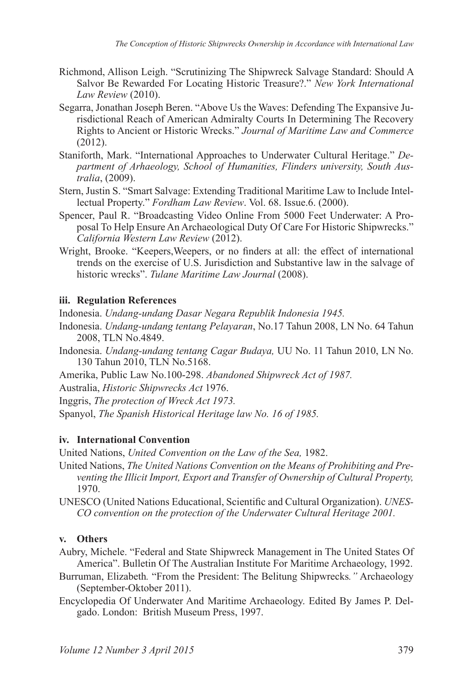- Richmond, Allison Leigh. "Scrutinizing The Shipwreck Salvage Standard: Should A Salvor Be Rewarded For Locating Historic Treasure?." *New York International Law Review* (2010).
- Segarra, Jonathan Joseph Beren. "Above Us the Waves: Defending The Expansive Jurisdictional Reach of American Admiralty Courts In Determining The Recovery Rights to Ancient or Historic Wrecks." *Journal of Maritime Law and Commerce*  (2012).
- Staniforth, Mark. "International Approaches to Underwater Cultural Heritage." *Department of Arhaeology, School of Humanities, Flinders university, South Australia*, (2009).
- Stern, Justin S. "Smart Salvage: Extending Traditional Maritime Law to Include Intellectual Property." *Fordham Law Review*. Vol. 68. Issue.6. (2000).
- Spencer, Paul R. "Broadcasting Video Online From 5000 Feet Underwater: A Proposal To Help Ensure An Archaeological Duty Of Care For Historic Shipwrecks." *California Western Law Review* (2012).
- Wright, Brooke. "Keepers,Weepers, or no finders at all: the effect of international trends on the exercise of U.S. Jurisdiction and Substantive law in the salvage of historic wrecks". *Tulane Maritime Law Journal* (2008).

#### **iii. Regulation References**

Indonesia. *Undang-undang Dasar Negara Republik Indonesia 1945 .* 

- Indonesia. *Undang-undang tentang Pelayaran*, No.17 Tahun 2008, LN No. 64 Tahun 2008, TLN No.4849.
- Indonesia. *Undang-undang tentang Cagar Budaya,* UU No. 11 Tahun 2010, LN No. 130 Tahun 2010, TLN No.5168.
- Amerika, Public Law No.100-298. *Abandoned Shipwreck Act of 1987.*

Australia, *Historic Shipwrecks Act* 1976.

Inggris, *The protection of Wreck Act 1973.*

Spanyol, *The Spanish Historical Heritage law No. 16 of 1985.*

#### **iv. International Convention**

United Nations, *United Convention on the Law of the Sea,* 1982.

- United Nations, *The United Nations Convention on the Means of Prohibiting and Preventing the Illicit Import, Export and Transfer of Ownership of Cultural Property,* 1970.
- UNESCO (United Nations Educational, Scientific and Cultural Organization). *UNES-CO convention on the protection of the Underwater Cultural Heritage 2001 .*

#### **v. Others**

- Aubry, Michele. "Federal and State Shipwreck Management in The United States Of America". Bulletin Of The Australian Institute For Maritime Archaeology, 1992.
- Burruman, Elizabeth *.* "From the President: The Belitung Shipwrecks *."* Archaeology (September-Oktober 2011).
- Encyclopedia Of Underwater And Maritime Archaeology. Edited By James P. Delgado. London: British Museum Press, 1997.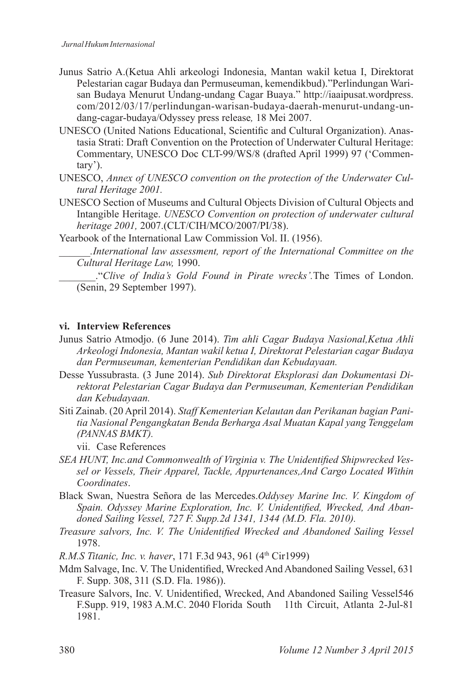- Junus Satrio A.(Ketua Ahli arkeologi Indonesia, Mantan wakil ketua I, Direktorat Pelestarian cagar Budaya dan Permuseuman, kemendikbud)."Perlindungan Warisan Budaya Menurut Undang-undang Cagar Buaya." http://iaaipusat.wordpress. com/2012/03/17/perlindungan-warisan-budaya-daerah-menurut-undang-undang-cagar-budaya/Odyssey press release*,* 18 Mei 2007.
- UNESCO (United Nations Educational, Scientific and Cultural Organization). Anastasia Strati: Draft Convention on the Protection of Underwater Cultural Heritage: Commentary, UNESCO Doc CLT-99/WS/8 (drafted April 1999) 97 ('Commentary').
- UNESCO, *Annex of UNESCO convention on the protection of the Underwater Cultural Heritage 2001 .*
- UNESCO Section of Museums and Cultural Objects Division of Cultural Objects and Intangible Heritage. *UNESCO Convention on protection of underwater cultural heritage 2001,* 2007.(CLT/CIH/MCO/2007/PI/38).

Yearbook of the International Law Commission Vol. II. (1956).

*\_\_\_\_\_\_ .International law assessment, report of the International Committee on the Cultural Heritage Law,* 1990.

\_\_\_\_\_\_\_."*Clive of India's Gold Found in Pirate wrecks' .*The Times of London. (Senin, 29 September 1997).

#### **vi. Interview References**

- Junus Satrio Atmodjo. (6 June 2014). *Tim ahli Cagar Budaya Nasional,Ketua Ahli Arkeologi Indonesia, Mantan wakil ketua I, Direktorat Pelestarian cagar Budaya dan Permuseuman, kementerian Pendidikan dan Kebudayaan .*
- Desse Yussubrasta. (3 June 2014). *Sub Direktorat Eksplorasi dan Dokumentasi Direktorat Pelestarian Cagar Budaya dan Permuseuman, Kementerian Pendidikan dan Kebudayaan .*
- Siti Zainab. (20 April 2014). *Staff Kementerian Kelautan dan Perikanan bagian Panitia Nasional Pengangkatan Benda Berharga Asal Muatan Kapal yang Tenggelam (PANNAS BMKT) .*

vii. Case References

- *SEA HUNT, Inc.and Commonwealth of Virginia v. The Unidentified Shipwrecked Vessel or Vessels, Their Apparel, Tackle, Appurtenances,And Cargo Located Within Coordinates*.
- Black Swan, Nuestra Señora de las Mercedes.*Oddysey Marine Inc . V . Kingdom of Spain. Odyssey Marine Exploration, Inc. V. Unidentified, Wrecked, And Abandoned Sailing Vessel, 727 F. Supp.2d 1341, 1344 (M.D. Fla. 2010).*
- *Treasure salvors, Inc. V. The Unidentified Wrecked and Abandoned Sailing Vessel* 1978.
- *R.M.S Titanic, Inc. v. haver*, 171 F.3d 943, 961 (4<sup>th</sup> Cir1999)
- Mdm Salvage, Inc. V. The Unidentified, Wrecked And Abandoned Sailing Vessel, 631 F. Supp. 308, 311 (S.D. Fla. 1986)).
- Treasure Salvors, Inc. V. Unidentified, Wrecked, And Abandoned Sailing Vessel546 F.Supp. 919, 1983 A.M.C. 2040 Florida South 11th Circuit, Atlanta 2-Jul-81 1981.